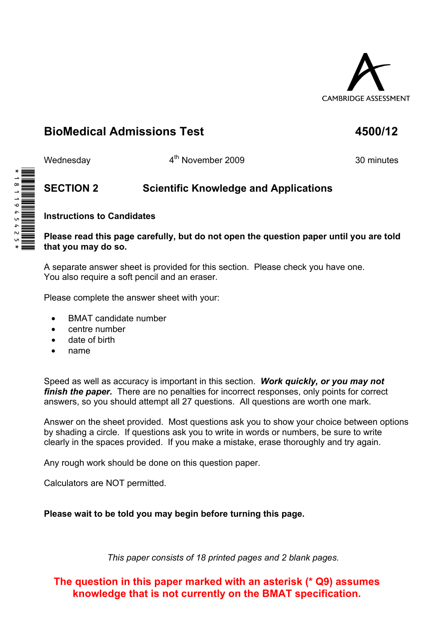

# **BioMedical Admissions Test 4500/12**

Wednesday **4<sup>th</sup> November 2009** 30 minutes

## **SECTION 2 Scientific Knowledge and Applications**

## **Instructions to Candidates**

### **Please read this page carefully, but do not open the question paper until you are told that you may do so.**

A separate answer sheet is provided for this section. Please check you have one. You also require a soft pencil and an eraser.

Please complete the answer sheet with your:

- BMAT candidate number
- centre number
- date of birth
- name

Speed as well as accuracy is important in this section. *Work quickly, or you may not finish the paper.* There are no penalties for incorrect responses, only points for correct answers, so you should attempt all 27 questions. All questions are worth one mark.

Answer on the sheet provided. Most questions ask you to show your choice between options by shading a circle. If questions ask you to write in words or numbers, be sure to write clearly in the spaces provided. If you make a mistake, erase thoroughly and try again.

Any rough work should be done on this question paper.

Calculators are NOT permitted.

**Please wait to be told you may begin before turning this page.** 

*This paper consists of 18 printed pages and 2 blank pages.* 

**The question in this paper marked with an asterisk (\* Q9) assumes knowledge that is not currently on the BMAT specification.**

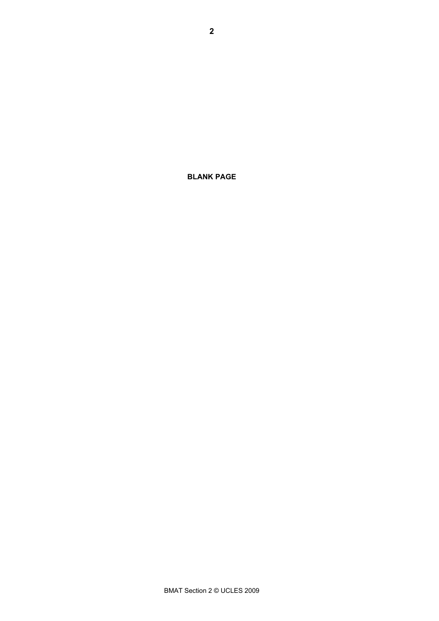**BLANK PAGE**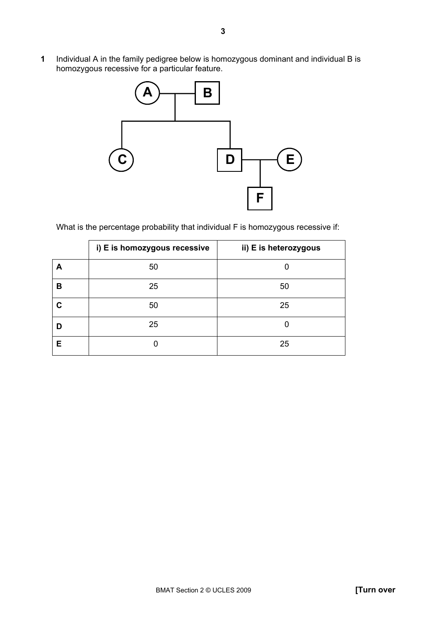**1** Individual A in the family pedigree below is homozygous dominant and individual B is homozygous recessive for a particular feature.



What is the percentage probability that individual F is homozygous recessive if:

|   | i) E is homozygous recessive | ii) E is heterozygous |
|---|------------------------------|-----------------------|
|   | 50                           |                       |
| в | 25                           | 50                    |
|   | 50                           | 25                    |
| n | 25                           |                       |
| F |                              | 25                    |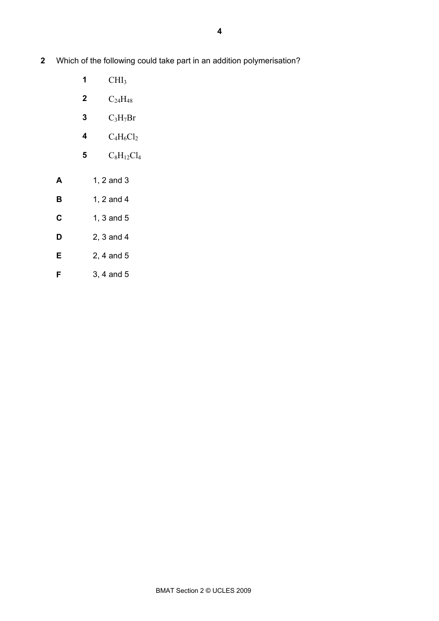- **2** Which of the following could take part in an addition polymerisation?
	- **1**  $CHI<sub>3</sub>$
	- **2**  $C_{24}H_{48}$
	- **3**  $C_3H_7Br$
	- **4**  $C_4H_6Cl_2$
	- **5**  $C_8H_{12}Cl_4$
	- **A** 1, 2 and 3
	- **B** 1, 2 and 4
	- **C** 1, 3 and 5
	- **D** 2, 3 and 4
	- **E** 2, 4 and 5
	- **F** 3, 4 and 5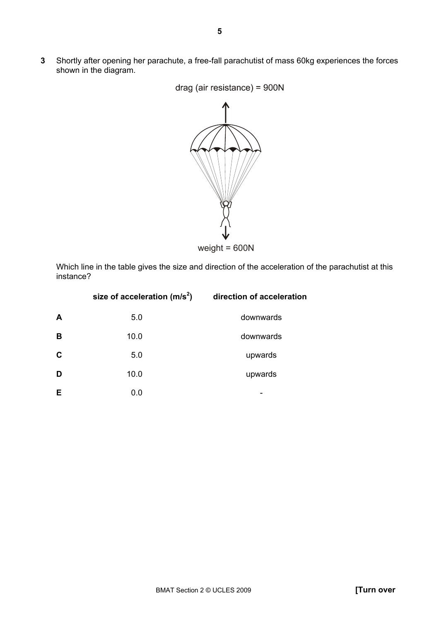**3** Shortly after opening her parachute, a free-fall parachutist of mass 60kg experiences the forces shown in the diagram.

drag (air resistance) = 900N



Which line in the table gives the size and direction of the acceleration of the parachutist at this instance?

|             | size of acceleration $(m/s2)$ | direction of acceleration |
|-------------|-------------------------------|---------------------------|
| A           | 5.0                           | downwards                 |
| В           | 10.0                          | downwards                 |
| $\mathbf c$ | 5.0                           | upwards                   |
| D           | 10.0                          | upwards                   |
| Е           | 0.0                           |                           |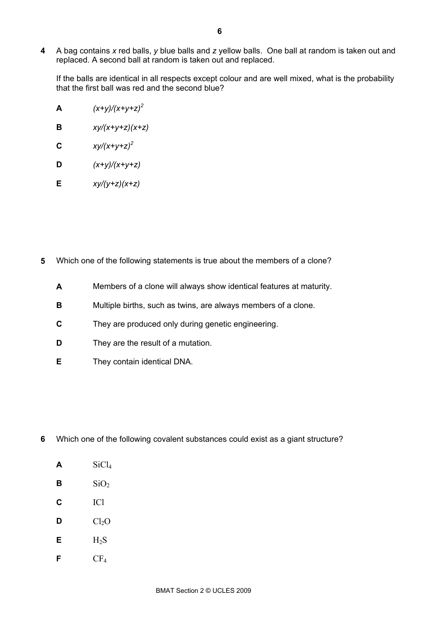**4** A bag contains *x* red balls, *y* blue balls and *z* yellow balls. One ball at random is taken out and replaced. A second ball at random is taken out and replaced.

If the balls are identical in all respects except colour and are well mixed, what is the probability that the first ball was red and the second blue?

- **A**  $(x+y)/(x+y+z)^2$
- **B** *xy/(x+y+z)(x+z)*
- **C**  $xy/(x+y+z)^2$
- **D**  $(x+y)/(x+y+z)$
- **E**  $XY/(y+z)(x+z)$

- **5** Which one of the following statements is true about the members of a clone?
	- **A** Members of a clone will always show identical features at maturity.
	- **B** Multiple births, such as twins, are always members of a clone.
	- **C** They are produced only during genetic engineering.
	- **D** They are the result of a mutation.
	- **E** They contain identical DNA.

**6** Which one of the following covalent substances could exist as a giant structure?

| A | SiCl <sub>4</sub> |
|---|-------------------|
| В | SiO <sub>2</sub>  |
| C | ICl               |
| D | Cl <sub>2</sub> O |
| Е | $H_2S$            |
| F | $\rm CF_{4}$      |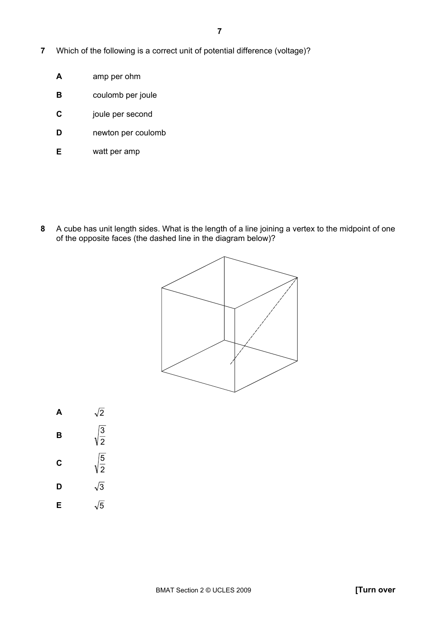- **7** Which of the following is a correct unit of potential difference (voltage)?
	- **A** amp per ohm
	- **B** coulomb per joule
	- **C** joule per second
	- **D newton per coulomb**
	- **E** watt per amp

**8** A cube has unit length sides. What is the length of a line joining a vertex to the midpoint of one of the opposite faces (the dashed line in the diagram below)?



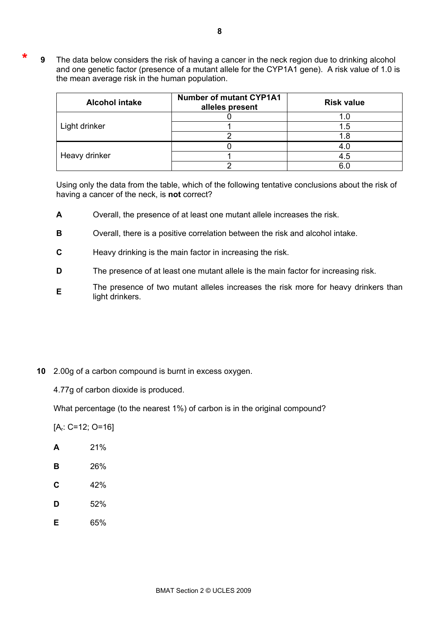**9** The data below considers the risk of having a cancer in the neck region due to drinking alcohol and one genetic factor (presence of a mutant allele for the CYP1A1 gene). A risk value of 1.0 is the mean average risk in the human population.

| <b>Alcohol intake</b> | <b>Number of mutant CYP1A1</b><br>alleles present | <b>Risk value</b> |
|-----------------------|---------------------------------------------------|-------------------|
|                       |                                                   |                   |
| Light drinker         |                                                   | 15                |
|                       |                                                   | 1.8               |
|                       |                                                   | 4.C               |
| Heavy drinker         |                                                   | 4.5               |
|                       |                                                   |                   |

Using only the data from the table, which of the following tentative conclusions about the risk of having a cancer of the neck, is **not** correct?

- **A** Overall, the presence of at least one mutant allele increases the risk.
- **B** Overall, there is a positive correlation between the risk and alcohol intake.
- **C** Heavy drinking is the main factor in increasing the risk.
- **D** The presence of at least one mutant allele is the main factor for increasing risk.
- **E**The presence of two mutant alleles increases the risk more for heavy drinkers than light drinkers.

**10** 2.00g of a carbon compound is burnt in excess oxygen.

4.77g of carbon dioxide is produced.

What percentage (to the nearest 1%) of carbon is in the original compound?

[Ar: C=12; O=16]

\*

| A | 21% |
|---|-----|
| в | 26% |

- $C = 42%$
- $D = 52%$
- **E** 65%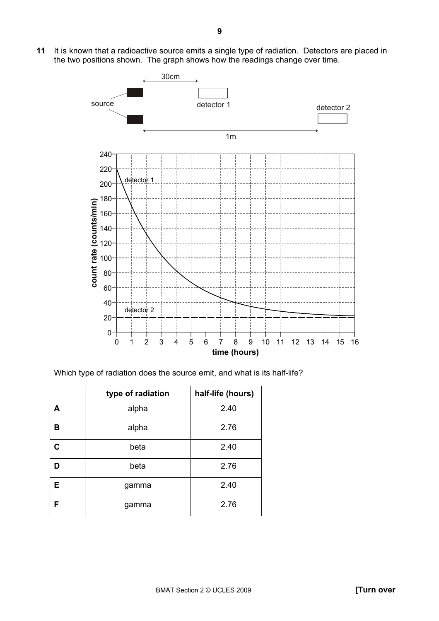**11** It is known that a radioactive source emits a single type of radiation. Detectors are placed in the two positions shown. The graph shows how the readings change over time.



Which type of radiation does the source emit, and what is its half-life?

|   | type of radiation | half-life (hours) |
|---|-------------------|-------------------|
| Α | alpha             | 2.40              |
| в | alpha             | 2.76              |
| C | beta              | 2.40              |
| D | beta              | 2.76              |
| E | gamma             | 2.40              |
| F | gamma             | 2.76              |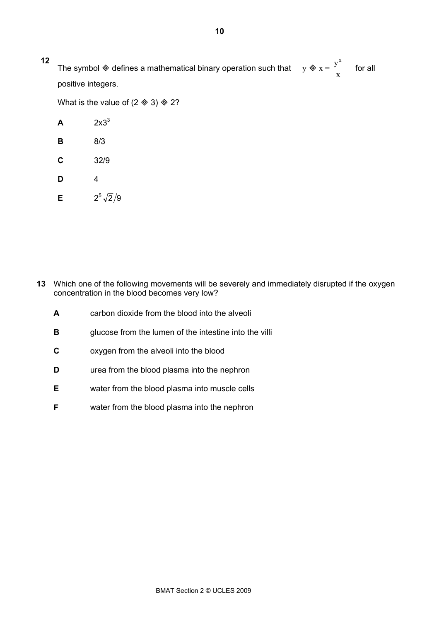**12** 

The symbol  $\otimes$  defines a mathematical binary operation such that y  $\otimes$  x = x  $\frac{y^{x}}{y^{x}}$  for all positive integers.

What is the value of  $(2 \otimes 3) \otimes 2$ ?

| A | $2x3^3$           |
|---|-------------------|
| В | 8/3               |
| C | 32/9              |
| D | 4                 |
| Е | $2^{5}\sqrt{2}/9$ |

- **13** Which one of the following movements will be severely and immediately disrupted if the oxygen concentration in the blood becomes very low?
	- **A** carbon dioxide from the blood into the alveoli
	- **B glucose from the lumen of the intestine into the villi**
	- **C** oxygen from the alveoli into the blood
	- **D urea from the blood plasma into the nephron**
	- **E** water from the blood plasma into muscle cells
	- **F** water from the blood plasma into the nephron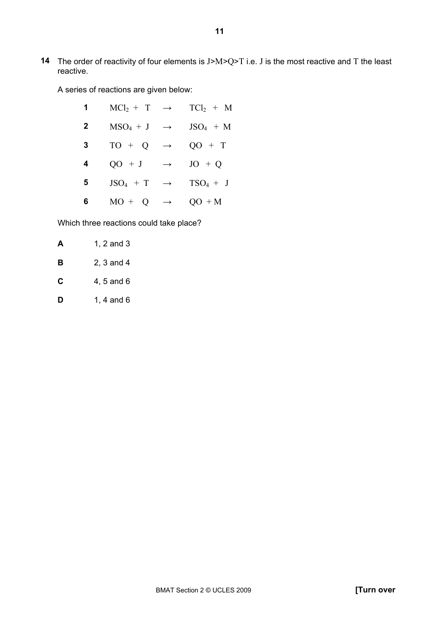**14** The order of reactivity of four elements is J>M>Q>T i.e. J is the most reactive and T the least reactive.

A series of reactions are given below:

|                         |                                                                 | $MCl_2 + T \rightarrow TCl_2 + M$ |
|-------------------------|-----------------------------------------------------------------|-----------------------------------|
| $\overline{\mathbf{2}}$ | $MSO_4 + J \rightarrow JSO_4 + M$                               |                                   |
|                         | 3 TO + Q $\rightarrow$ QO + T                                   |                                   |
|                         | 4 $QO + J \rightarrow JO + Q$                                   |                                   |
|                         | 5 $\text{ISO}_4 + \text{T} \rightarrow \text{TSO}_4 + \text{J}$ |                                   |
| 6 —                     | $MO + Q \rightarrow QO + M$                                     |                                   |

Which three reactions could take place?

| A | 1, $2$ and $3$ |
|---|----------------|
| в | 2. 3 and 4     |
| C | 4, 5 and 6     |
| D | 1, 4 and $6$   |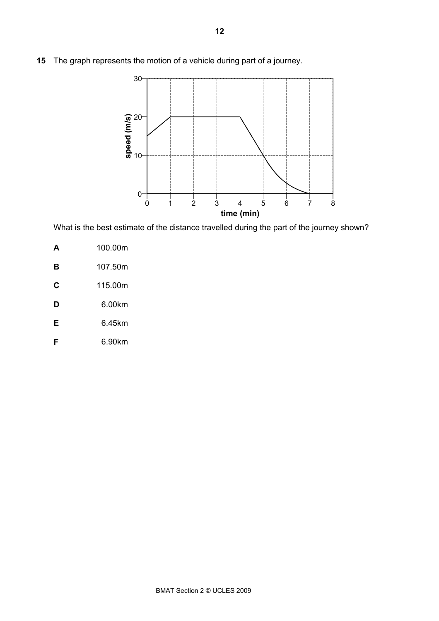**15** The graph represents the motion of a vehicle during part of a journey.



What is the best estimate of the distance travelled during the part of the journey shown?

|   | 100 00m        |
|---|----------------|
| в | 107.50m        |
| C | 115.00m        |
| Ŋ | <u> 6 ՕՕkm</u> |
| Е | 6.45km         |
| F | <u> 6 90km</u> |
|   |                |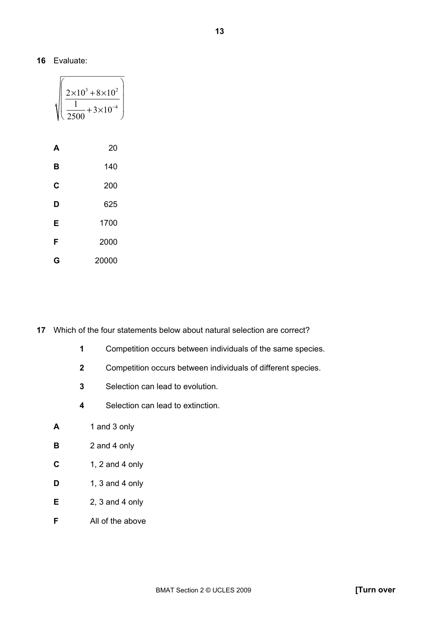#### **16** Evaluate:

| $2 \times 10^3 + 8 \times 10^2$ |  |
|---------------------------------|--|
| $+3\times10^{-7}$<br>2500       |  |
|                                 |  |

| A | 20    |
|---|-------|
| в | 140   |
| С | 200   |
| D | 625   |
| Е | 1700  |
| F | 2000  |
| s | 20000 |

**17** Which of the four statements below about natural selection are correct?

- **1** Competition occurs between individuals of the same species.
- **2** Competition occurs between individuals of different species.
- **3** Selection can lead to evolution.
- **4** Selection can lead to extinction.
- **A** 1 and 3 only
- **B** 2 and 4 only
- **C** 1, 2 and 4 only
- **D** 1, 3 and 4 only
- **E** 2, 3 and 4 only
- **F** All of the above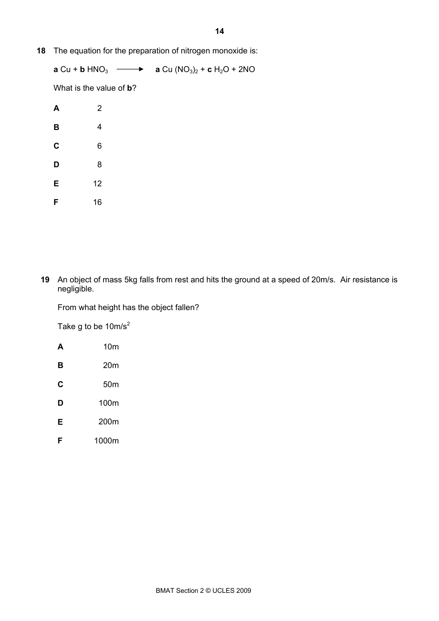**18** The equation for the preparation of nitrogen monoxide is:

**a** Cu + **b** HNO<sub>3</sub>  $\longrightarrow$  **a** Cu (NO<sub>3</sub>)<sub>2</sub> + **c** H<sub>2</sub>O + 2NO

What is the value of **b**?

| А | 2  |
|---|----|
| B | 4  |
| C | 6  |
| D | 8  |
| E | 12 |
| F | 16 |

**19** An object of mass 5kg falls from rest and hits the ground at a speed of 20m/s. Air resistance is negligible.

From what height has the object fallen?

Take g to be  $10m/s^2$ 

|   | 10m   |
|---|-------|
| R | 20m   |
| C | 50m   |
| Ŋ | 100m  |
| Е | 200m  |
|   | 1000m |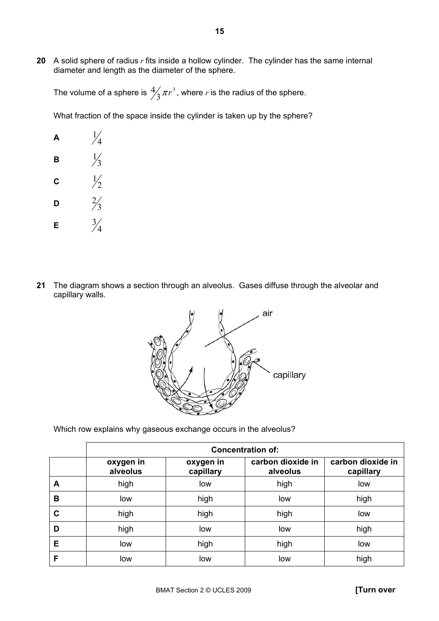**20** A solid sphere of radius *r* fits inside a hollow cylinder. The cylinder has the same internal diameter and length as the diameter of the sphere.

The volume of a sphere is  $\frac{4}{3}\pi r^3$ , where *r* is the radius of the sphere.

What fraction of the space inside the cylinder is taken up by the sphere?

|   | $\frac{1}{4}$ |
|---|---------------|
| B | $\frac{1}{3}$ |
| Ć | $\frac{1}{2}$ |
| D | $\frac{2}{3}$ |
| Е | $\frac{3}{4}$ |

**21** The diagram shows a section through an alveolus. Gases diffuse through the alveolar and capillary walls.



Which row explains why gaseous exchange occurs in the alveolus?

|   | <b>Concentration of:</b> |                        |                               |                                |
|---|--------------------------|------------------------|-------------------------------|--------------------------------|
|   | oxygen in<br>alveolus    | oxygen in<br>capillary | carbon dioxide in<br>alveolus | carbon dioxide in<br>capillary |
| A | high                     | low                    | high                          | low                            |
| в | low                      | high                   | low                           | high                           |
| С | high                     | high                   | high                          | low                            |
| D | high                     | low                    | low                           | high                           |
| Е | low                      | high                   | high                          | low                            |
| F | low                      | low                    | low                           | high                           |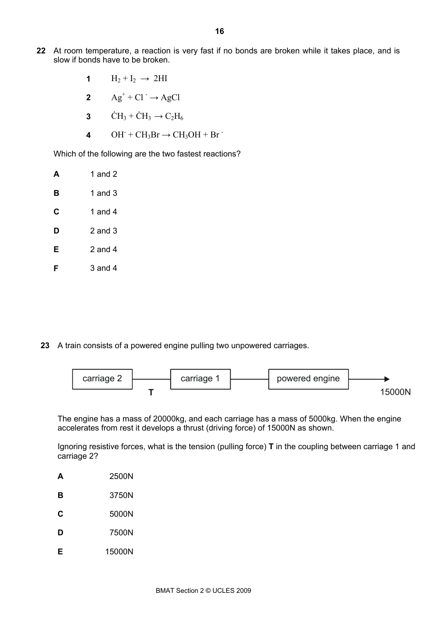- **22** At room temperature, a reaction is very fast if no bonds are broken while it takes place, and is slow if bonds have to be broken.
	- **1**  $H_2 + I_2 \rightarrow 2HI$
	- **2**  $\text{Ag}^+ + \text{Cl}^- \rightarrow \text{AgCl}$
	- **3**  $\text{CH}_3 + \text{CH}_3 \rightarrow \text{C}_2\text{H}_6$
	- **4** OH<sup>+</sup> + CH<sub>3</sub>Br  $\rightarrow$  CH<sub>3</sub>OH + Br<sup>-</sup>

Which of the following are the two fastest reactions?

| Δ | 1 and 2 |
|---|---------|
| в | 1 and 3 |
| C | 1 and 4 |
| D | 2 and 3 |
| Е | 2 and 4 |
| F | 3 and 4 |

**23** A train consists of a powered engine pulling two unpowered carriages.



The engine has a mass of 20000kg, and each carriage has a mass of 5000kg. When the engine accelerates from rest it develops a thrust (driving force) of 15000N as shown.

Ignoring resistive forces, what is the tension (pulling force) **T** in the coupling between carriage 1 and carriage 2?

| A | 2500N  |
|---|--------|
| в | 3750N  |
| C | 5000N  |
| D | 7500N  |
| Е | 15000N |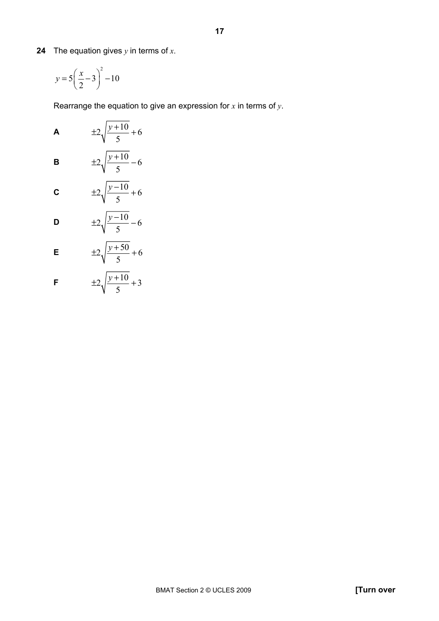**24** The equation gives *y* in terms of *x*.

$$
y = 5\left(\frac{x}{2} - 3\right)^2 - 10
$$

Rearrange the equation to give an expression for *x* in terms of *y*.

**A**  
\n
$$
\pm 2\sqrt{\frac{y+10}{5}} + 6
$$
\n**B**  
\n
$$
\pm 2\sqrt{\frac{y+10}{5}} - 6
$$
\n**C**  
\n
$$
\pm 2\sqrt{\frac{y-10}{5}} + 6
$$
\n**D**  
\n
$$
\pm 2\sqrt{\frac{y-10}{5}} - 6
$$
\n**E**  
\n
$$
\pm 2\sqrt{\frac{y+50}{5}} + 6
$$
\n**F**  
\n
$$
\pm 2\sqrt{\frac{y+10}{5}} + 3
$$

5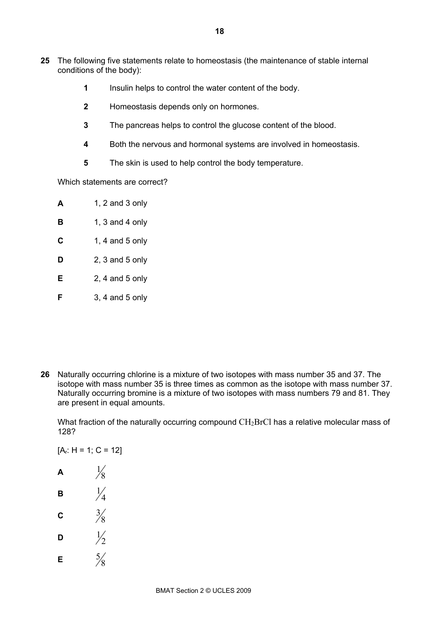- **25** The following five statements relate to homeostasis (the maintenance of stable internal conditions of the body):
	- **1** Insulin helps to control the water content of the body.
	- **2** Homeostasis depends only on hormones.
	- **3** The pancreas helps to control the glucose content of the blood.
	- **4** Both the nervous and hormonal systems are involved in homeostasis.
	- **5** The skin is used to help control the body temperature.

Which statements are correct?

| Α | 1, 2 and 3 only |
|---|-----------------|
|   |                 |

- **B** 1, 3 and 4 only
- **C** 1, 4 and 5 only
- **D** 2, 3 and 5 only
- **E** 2, 4 and 5 only
- **F** 3, 4 and 5 only

**26** Naturally occurring chlorine is a mixture of two isotopes with mass number 35 and 37. The isotope with mass number 35 is three times as common as the isotope with mass number 37. Naturally occurring bromine is a mixture of two isotopes with mass numbers 79 and 81. They are present in equal amounts.

What fraction of the naturally occurring compound  $CH<sub>2</sub>BrCl$  has a relative molecular mass of 128?

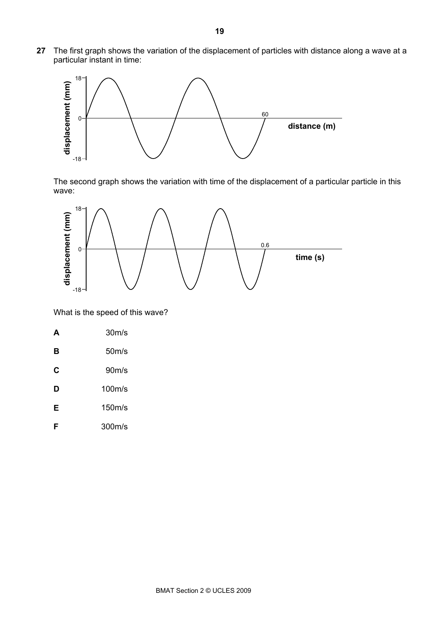**27** The first graph shows the variation of the displacement of particles with distance along a wave at a particular instant in time:



The second graph shows the variation with time of the displacement of a particular particle in this wave:



What is the speed of this wave?

| A | $30m$ /s |
|---|----------|
| в | $50m$ /s |
| C | $90m$ /s |

- **D** 100m/s
- **E** 150m/s
- **F** 300m/s